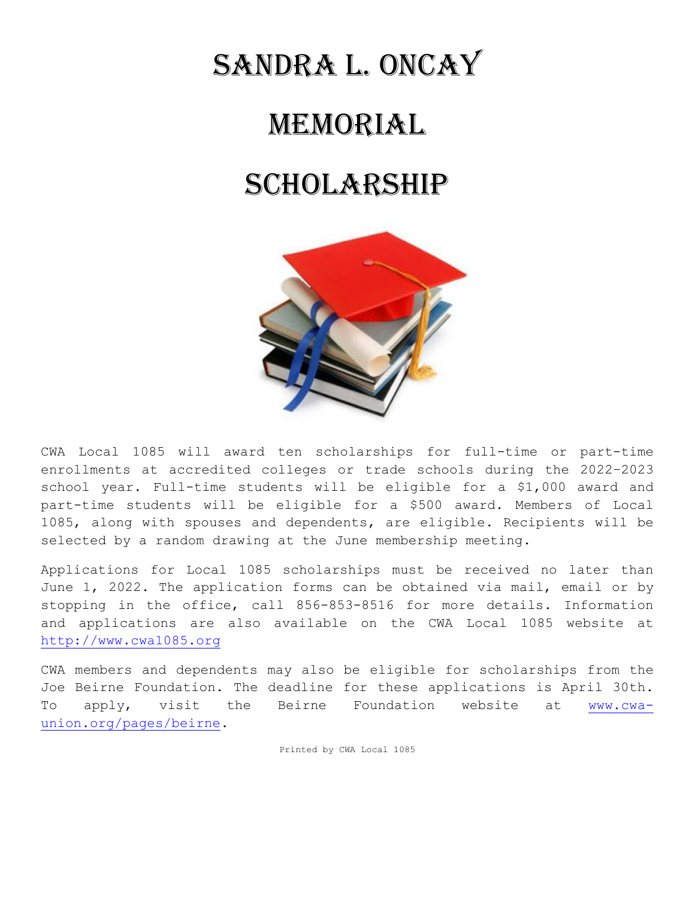## Sandra l. oncay

## Memorial

## SCHOLARSHIP



CWA Local 1085 will award ten scholarships for full-time or part-time enrollments at accredited colleges or trade schools during the 2022–2023 school year. Full-time students will be eligible for a \$1,000 award and part-time students will be eligible for a \$500 award. Members of Local 1085, along with spouses and dependents, are eligible. Recipients will be selected by a random drawing at the June membership meeting.

Applications for Local 1085 scholarships must be received no later than June 1, 2022. The application forms can be obtained via mail, email or by stopping in the office, call 856-853-8516 for more details. Information and applications are also available on the CWA Local 1085 website at [http://www.cwa1085.org](http://www.cwa1085.org/)

CWA members and dependents may also be eligible for scholarships from the Joe Beirne Foundation. The deadline for these applications is April 30th. To apply, visit the Beirne Foundation website at [www.cwa](http://www.cwa-union.org/pages/beirne)[union.org/pages/beirne.](http://www.cwa-union.org/pages/beirne)

Printed by CWA Local 1085